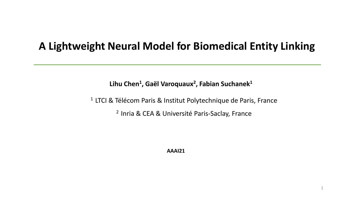# **A Lightweight Neural Model for Biomedical Entity Linking**

**Lihu Chen<sup>1</sup> , Gaël Varoquaux<sup>2</sup> , Fabian Suchanek<sup>1</sup>**

<sup>1</sup> LTCI & Télécom Paris & Institut Polytechnique de Paris, France <sup>2</sup> Inria & CEA & Université Paris-Saclay, France

**AAAI21**

1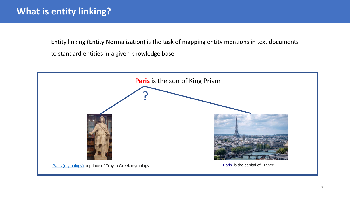Entity linking (Entity Normalization) is the task of mapping entity mentions in text documents to standard entities in a given knowledge base.

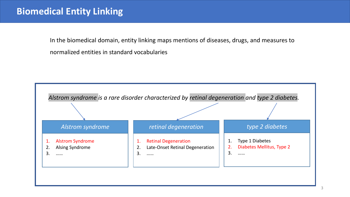# **Biomedical Entity Linking**

In the biomedical domain, entity linking maps mentions of diseases, drugs, and measures to normalized entities in standard vocabularies

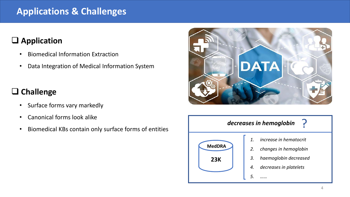# **Applications & Challenges**

# ❑ **Application**

- Biomedical Information Extraction
- Data Integration of Medical Information System

### ❑ **Challenge**

- Surface forms vary markedly
- Canonical forms look alike
- Biomedical KBs contain only surface forms of entities



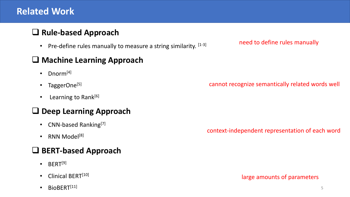# **Related Work**

### ❑ **Rule-based Approach**

• Pre-define rules manually to measure a string similarity.  $[1-3]$ 

#### ❑ **Machine Learning Approach**

- Dnorm $[4]$
- TaggerOne $^{[5]}$
- Learning to Rank<sup>[6]</sup>

#### ❑ **Deep Learning Approach**

- CNN-based Ranking $^{[7]}$
- RNN Model<sup>[8]</sup>

### ❑ **BERT-based Approach**

- $\cdot$  BERT<sup>[9]</sup>
- Clinical BERT<sup>[10]</sup>
- $\bullet$  BioBERT<sup>[11]</sup>

need to define rules manually

cannot recognize semantically related words well

context-independent representation of each word

large amounts of parameters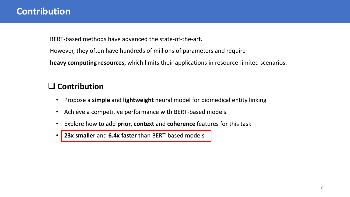### **Contribution**

BERT-based methods have advanced the state-of-the-art.

However, they often have hundreds of millions of parameters and require

**heavy computing resources**, which limits their applications in resource-limited scenarios.

### ❑ **Contribution**

- Propose a **simple** and **lightweight** neural model for biomedical entity linking
- Achieve a competitive performance with BERT-based models
- Explore how to add **prior**, **context** and **coherence** features for this task

• **23x smaller** and **6.4x faster** than BERT-based models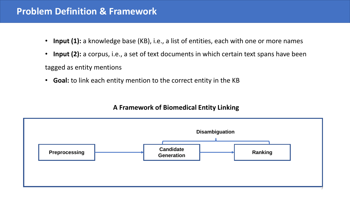### **Problem Definition & Framework**

- **Input (1):** a knowledge base (KB), i.e., a list of entities, each with one or more names
- **Input (2):** a corpus, i.e., a set of text documents in which certain text spans have been tagged as entity mentions
- **Goal:** to link each entity mention to the correct entity in the KB

#### **A Framework of Biomedical Entity Linking**

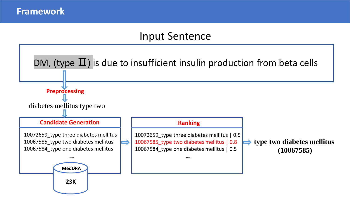# Input Sentence

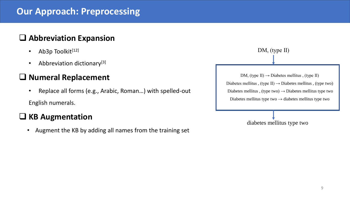# **Our Approach: Preprocessing**

#### ❑ **Abbreviation Expansion**

- Ab3p Toolkit $[12]$
- Abbreviation dictionary<sup>[3]</sup>

#### ❑ **Numeral Replacement**

• Replace all forms (e.g., Arabic, Roman…) with spelled-out

English numerals.

#### ❑ **KB Augmentation**

• Augment the KB by adding all names from the training set

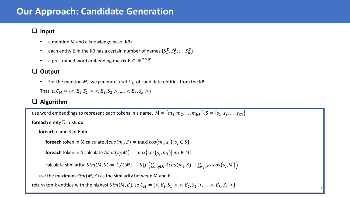### **Our Approach: Candidate Generation**

#### ❑ **Input**

- a mention  $M$  and a knowledge base (KB)
- each entity E in the KB has a certain number of names  $\{S_1^E,S_2^E,...,S_n^E\}$
- a pre-trained word embedding matrix  $V \in \mathbb{R}^{d \times |V|}$

#### ❑ **Output**

• For the mention M, we generate a set  $C_M$  of candidate entities from the KB.

That is,  $C_M = \{ \langle E_1, S_1 \rangle, \langle E_2, S_2 \rangle, \dots, \langle E_k, S_k \rangle \}$ 

#### ❑ **Algorithm**

use word embeddings to represent each tokens in a name,  $M = \{m_1, m_2, ..., m_{|M|}\}\$ ,  $S = \{s_1, s_2, ..., s_{|S|}\}\$ **foreach** entity E in KB **do foreach** name S of E **do**  $\mathop{\mathsf{forecast}}$  token in  $\mathop{\mathsf{M}}$  calculate  $Acos(m_i, S) = \max\{cos(m_i, s_j) |$   $s_j \in S\}$  $\bm{\mathsf{foreach}}$  token in  $S$  calculate  $Acos(s_j,M) = \max\{cos(s_j,m_i) | \, m_i \in M\}$ calculate similarity:  $Sim(M,S) = \ 1/(|M|+|S|) \ \left( \sum_{m_i \in M} A cos(m_i,S) + \sum_{s_j \in S} A cos(s_j,M) \right)$ use the maximum  $Sim(M, S)$  as the similarity between M and E return top-k entities with the highest  $Sim(M, E)$ , so  $C_M = \{ \langle E_1, S_1 \rangle, \langle E_2, S_2 \rangle, \dots, \langle E_k, S_k \rangle \}$ 

10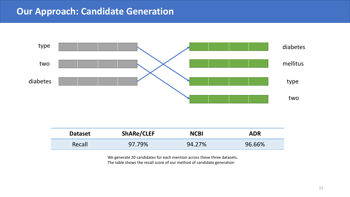# **Our Approach: Candidate Generation**



| <b>Dataset</b> | <b>ShARe/CLEF</b> | <b>NCBI</b> | <b>ADR</b> |
|----------------|-------------------|-------------|------------|
| Recall         | 97.79%            | 94.27%      | 96.66%     |

We generate 20 candidates for each mention across these three datasets. The table shows the recall score of our method of candidate generation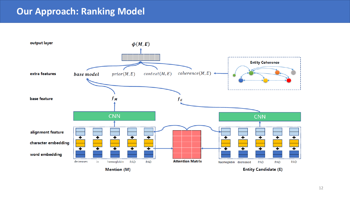### **Our Approach: Ranking Model**

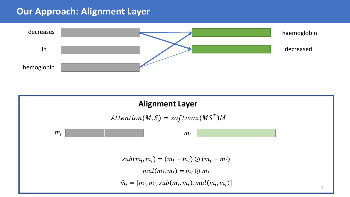### **Our Approach: Alignment Layer**



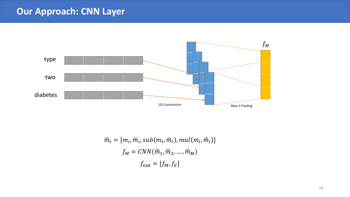# **Our Approach: CNN Layer**



$$
\hat{m}_i = [m_i, \overline{m}_i, sub(m_i, \overline{m}_i), mul(m_i, \overline{m}_i)]
$$

$$
f_M = CNN(\hat{m}_1, \hat{m}_2, ..., \hat{m}_M)
$$

$$
f_{\text{out}} = [f_M, f_E]
$$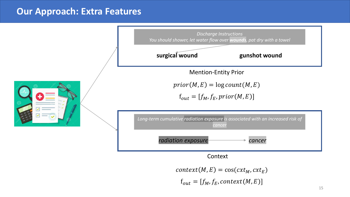#### **Our Approach: Extra Features**



 $context(M, E) = \cos(cxt_M, cxt_E)$  $f_{out} = [f_M, f_E, context(M, E)]$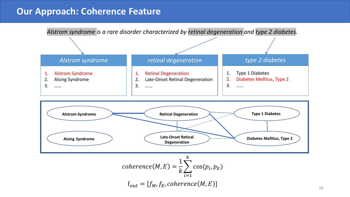### **Our Approach: Coherence Feature**

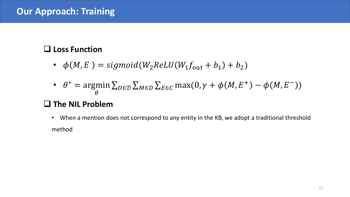# ❑ **Loss Function**

- $\phi(M, E) = sigmoid(W_2 ReLU(W_1 f_{\text{out}} + b_1) + b_2)$
- $\theta^* = \text{argmin}$  $\theta$  $\sum_{D \in \mathcal{D}} \sum_{M \in D} \sum_{E \in C} \max(0, \gamma + \phi(M, E^+) - \phi(M, E^-))$

# ❑ **The NIL Problem**

• When a mention does not correspond to any entity in the KB, we adopt a traditional threshold method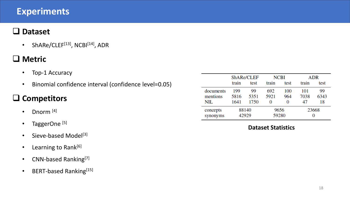### **Experiments**

#### ❑ **Dataset**

• ShARe/CLEF $^{[13]}$ , NCBI $^{[14]}$ , ADR

### ❑ **Metric**

- Top-1 Accuracy
- Binomial confidence interval (confidence level=0.05)

# ❑ **Competitors**

- Dnorm  $[4]$
- TaggerOne<sup>[5]</sup>
- Sieve-based Model<sup>[3]</sup>
- Learning to Rank<sup>[6]</sup>
- CNN-based Ranking<sup>[7]</sup>
- BERT-based Ranking<sup>[15]</sup>

|           | ShARe/CLEF |      |       | <b>NCBI</b> | ADR   |      |  |
|-----------|------------|------|-------|-------------|-------|------|--|
|           | train      | test | train | test        | train | test |  |
| documents | 199        | 99   | 692   | 100         | 101   | 99   |  |
| mentions  | 5816       | 5351 | 5921  | 964         | 7038  | 6343 |  |
| NIL       | 1641       | 1750 | O     | 0           | 47    | 18   |  |
| concepts  | 88140      |      | 9656  |             | 23668 |      |  |
| synonyms  | 42929      |      | 59280 |             | O     |      |  |

#### **Dataset Statistics**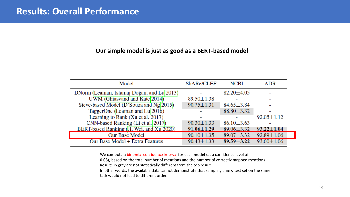#### **Our simple model is just as good as a BERT-based model**

| Model                                                  | ShARe/CLEF       | <b>NCBI</b>      | <b>ADR</b>       |
|--------------------------------------------------------|------------------|------------------|------------------|
| DNorm (Leaman, Islamaj Doğan, and Lu <sup>2013</sup> ) |                  | $82.20 \pm 4.05$ |                  |
| UWM (Ghiasvand and Kate 2014)                          | $89.50 \pm 1.38$ |                  |                  |
| Sieve-based Model (D'Souza and Ng 2015)                | $90.75 \pm 1.31$ | $84.65 \pm 3.84$ |                  |
| TaggerOne (Leaman and Lu <sup>2016</sup> )             |                  | $88.80 \pm 3.32$ |                  |
| Learning to Rank $(Xu et al. 2017)$                    |                  |                  | $92.05 \pm 1.12$ |
| CNN-based Ranking (Li et al. 2017)                     | $90.30 \pm 1.33$ | $86.10 \pm 3.63$ |                  |
| BERT-based Ranking (Ji. Wei. and Xul2020)              | $91.06 \pm 1.29$ | $89.06 \pm 3.32$ | $93.22 \pm 1.04$ |
| Our Base Model                                         | $90.10 \pm 1.35$ | $89.07 \pm 3.32$ | $92.89 \pm 1.06$ |
| Our Base Model + Extra Features                        | $90.43 \pm 1.33$ | $89.59 \pm 3.22$ | $93.00 \pm 1.06$ |

We compute a binomial confidence interval for each model (at a confidence level of

0.05), based on the total number of mentions and the number of correctly mapped mentions.

Results in gray are not statistically different from the top result.

In other words, the available data cannot demonstrate that sampling a new test set on the same task would not lead to different order.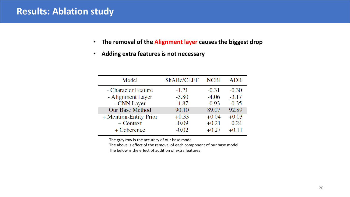#### **Results: Ablation study**

- **The removal of the Alignment layer causes the biggest drop**
- **Adding extra features is not necessary**

| Model                  | ShARe/CLEF | <b>NCBI</b> | <b>ADR</b> |
|------------------------|------------|-------------|------------|
| - Character Feature    | $-1.21$    | $-0.31$     | $-0.30$    |
| - Alignment Layer      | $-3.80$    | $-4.06$     | $-3.17$    |
| - CNN Layer            | $-1.87$    | $-0.93$     | $-0.35$    |
| Our Base Method        | 90.10      | 89.07       | 92.89      |
| + Mention-Entity Prior | $+0.33$    | $+0.04$     | $+0.03$    |
| $+$ Context            | $-0.09$    | $+0.21$     | $-0.24$    |
| + Coherence            | $-0.02$    | $+0.27$     | $+0.11$    |

The gray row is the accuracy of our base model

The above is effect of the removal of each component of our base model The below is the effect of addition of extra features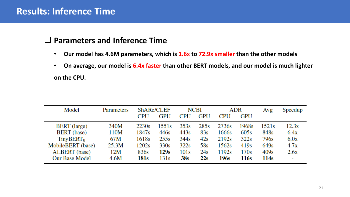#### **Results: Inference Time**

#### ❑ **Parameters and Inference Time**

- **Our model has 4.6M parameters, which is 1.6x to 72.9x smaller than the other models**
- **On average, our model is 6.4x faster than other BERT models, and our model is much lighter on the CPU.**

| Model                     | <b>Parameters</b> | ShARe/CLEF |            | <b>NCBI</b>      |            | ADR               |            | Avg   | Speedup |
|---------------------------|-------------------|------------|------------|------------------|------------|-------------------|------------|-------|---------|
|                           |                   | <b>CPU</b> | <b>GPU</b> | <b>CPU</b>       | <b>GPU</b> | CPU               | <b>GPU</b> |       |         |
| <b>BERT</b> (large)       | 340M              | 2230s      | 1551s      | 353s             | 285s       | 2736s             | 1968s      | 1521s | 12.3x   |
| <b>BERT</b> (base)        | 110M              | 1847s      | 446s       | 443s             | 83s        | 1666s             | 605s       | 848s  | 6.4x    |
| $T$ iny BERT <sub>6</sub> | 67M               | 1618s      | 255s       | 344 <sub>s</sub> | 42s        | 2192 <sub>s</sub> | 322s       | 796s  | 6.0x    |
| MobileBERT (base)         | 25.3M             | 1202s      | 330s       | 322s             | 58s        | 1562s             | 419s       | 649s  | 4.7x    |
| <b>ALBERT</b> (base)      | 12M               | 836s       | 129s       | 101s             | 24s        | 1192s             | 170s       | 409s  | 2.6x    |
| <b>Our Base Model</b>     | 4.6M              | 181s       | 131s       | 38s              | 22s        | 196s              | 116s       | 114s  |         |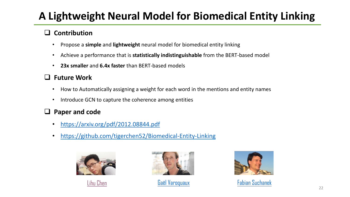# **A Lightweight Neural Model for Biomedical Entity Linking**

#### ❑ **Contribution**

- Propose a **simple** and **lightweight** neural model for biomedical entity linking
- Achieve a performance that is **statistically indistinguishable** from the BERT-based model
- **23x smaller** and **6.4x faster** than BERT-based models

#### ❑ **Future Work**

- How to Automatically assigning a weight for each word in the mentions and entity names
- Introduce GCN to capture the coherence among entities

#### ❑ **Paper and code**

- <https://arxiv.org/pdf/2012.08844.pdf>
- <https://github.com/tigerchen52/Biomedical-Entity-Linking>









[Lihu Chen](https://chenlihu.com/) [Gaël Varoquaux](http://gael-varoquaux.info/) [Fabian Suchanek](https://suchanek.name/)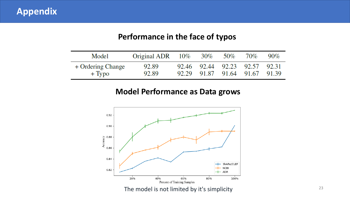#### **Performance in the face of typos**

| Model                       | Original ADR $10\%$ 30% 50% |  |                                                                | 70% | $90\%$ |
|-----------------------------|-----------------------------|--|----------------------------------------------------------------|-----|--------|
| + Ordering Change<br>+ Typo | 92.89<br>92.89              |  | 92.46 92.44 92.23 92.57 92.31<br>92.29 91.87 91.64 91.67 91.39 |     |        |

#### **Model Performance as Data grows**



The model is not limited by it's simplicity and the model is not limited by it's simplicity